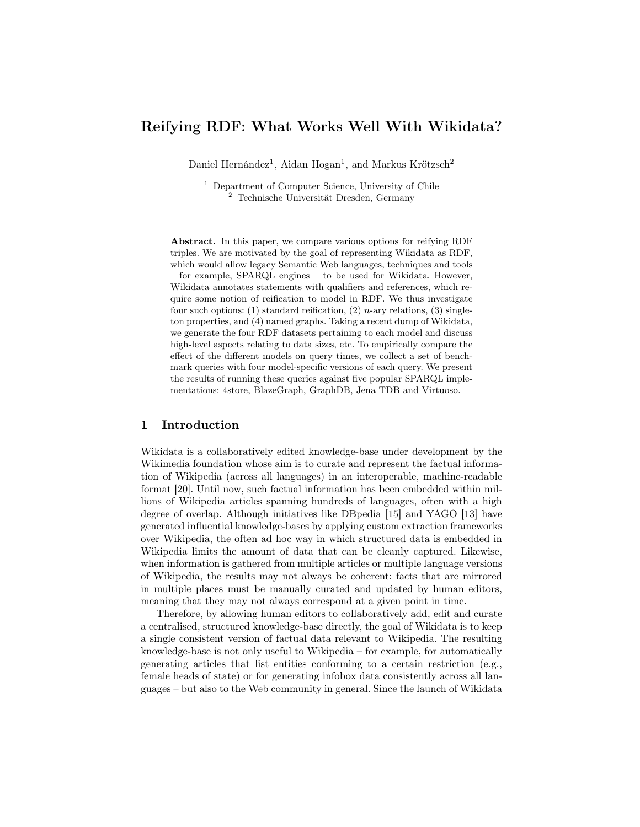# Reifying RDF: What Works Well With Wikidata?

Daniel Hernández<sup>1</sup>, Aidan Hogan<sup>1</sup>, and Markus Krötzsch<sup>2</sup>

<sup>1</sup> Department of Computer Science, University of Chile <sup>2</sup> Technische Universität Dresden, Germany

Abstract. In this paper, we compare various options for reifying RDF triples. We are motivated by the goal of representing Wikidata as RDF, which would allow legacy Semantic Web languages, techniques and tools – for example, SPARQL engines – to be used for Wikidata. However, Wikidata annotates statements with qualifiers and references, which require some notion of reification to model in RDF. We thus investigate four such options: (1) standard reification, (2) n-ary relations, (3) singleton properties, and (4) named graphs. Taking a recent dump of Wikidata, we generate the four RDF datasets pertaining to each model and discuss high-level aspects relating to data sizes, etc. To empirically compare the effect of the different models on query times, we collect a set of benchmark queries with four model-specific versions of each query. We present the results of running these queries against five popular SPARQL implementations: 4store, BlazeGraph, GraphDB, Jena TDB and Virtuoso.

## 1 Introduction

Wikidata is a collaboratively edited knowledge-base under development by the Wikimedia foundation whose aim is to curate and represent the factual information of Wikipedia (across all languages) in an interoperable, machine-readable format [\[20\]](#page-14-0). Until now, such factual information has been embedded within millions of Wikipedia articles spanning hundreds of languages, often with a high degree of overlap. Although initiatives like DBpedia [\[15\]](#page-14-1) and YAGO [\[13\]](#page-14-2) have generated influential knowledge-bases by applying custom extraction frameworks over Wikipedia, the often ad hoc way in which structured data is embedded in Wikipedia limits the amount of data that can be cleanly captured. Likewise, when information is gathered from multiple articles or multiple language versions of Wikipedia, the results may not always be coherent: facts that are mirrored in multiple places must be manually curated and updated by human editors, meaning that they may not always correspond at a given point in time.

Therefore, by allowing human editors to collaboratively add, edit and curate a centralised, structured knowledge-base directly, the goal of Wikidata is to keep a single consistent version of factual data relevant to Wikipedia. The resulting knowledge-base is not only useful to Wikipedia – for example, for automatically generating articles that list entities conforming to a certain restriction (e.g., female heads of state) or for generating infobox data consistently across all languages – but also to the Web community in general. Since the launch of Wikidata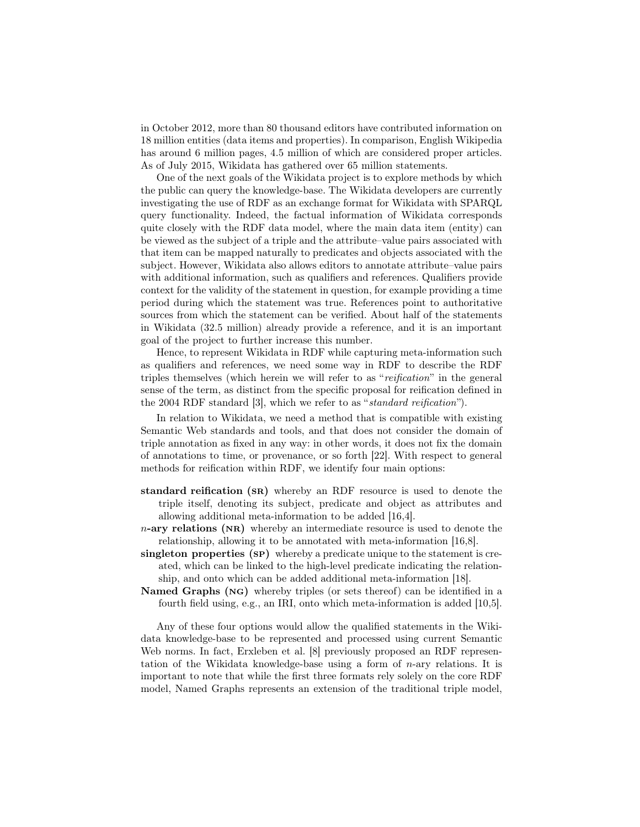in October 2012, more than 80 thousand editors have contributed information on 18 million entities (data items and properties). In comparison, English Wikipedia has around 6 million pages, 4.5 million of which are considered proper articles. As of July 2015, Wikidata has gathered over 65 million statements.

One of the next goals of the Wikidata project is to explore methods by which the public can query the knowledge-base. The Wikidata developers are currently investigating the use of RDF as an exchange format for Wikidata with SPARQL query functionality. Indeed, the factual information of Wikidata corresponds quite closely with the RDF data model, where the main data item (entity) can be viewed as the subject of a triple and the attribute–value pairs associated with that item can be mapped naturally to predicates and objects associated with the subject. However, Wikidata also allows editors to annotate attribute–value pairs with additional information, such as qualifiers and references. Qualifiers provide context for the validity of the statement in question, for example providing a time period during which the statement was true. References point to authoritative sources from which the statement can be verified. About half of the statements in Wikidata (32.5 million) already provide a reference, and it is an important goal of the project to further increase this number.

Hence, to represent Wikidata in RDF while capturing meta-information such as qualifiers and references, we need some way in RDF to describe the RDF triples themselves (which herein we will refer to as "reification" in the general sense of the term, as distinct from the specific proposal for reification defined in the 2004 RDF standard [\[3\]](#page-13-0), which we refer to as " standard reification").

In relation to Wikidata, we need a method that is compatible with existing Semantic Web standards and tools, and that does not consider the domain of triple annotation as fixed in any way: in other words, it does not fix the domain of annotations to time, or provenance, or so forth [\[22\]](#page-14-3). With respect to general methods for reification within RDF, we identify four main options:

- standard reification (sr) whereby an RDF resource is used to denote the triple itself, denoting its subject, predicate and object as attributes and allowing additional meta-information to be added [\[16](#page-14-4)[,4\]](#page-13-1).
- $n$ -ary relations (NR) whereby an intermediate resource is used to denote the relationship, allowing it to be annotated with meta-information [\[16,](#page-14-4)[8\]](#page-14-5).
- singleton properties (SP) whereby a predicate unique to the statement is created, which can be linked to the high-level predicate indicating the relationship, and onto which can be added additional meta-information [\[18\]](#page-14-6).
- Named Graphs (ng) whereby triples (or sets thereof) can be identified in a fourth field using, e.g., an IRI, onto which meta-information is added [\[10,](#page-14-7)[5\]](#page-13-2).

Any of these four options would allow the qualified statements in the Wikidata knowledge-base to be represented and processed using current Semantic Web norms. In fact, Erxleben et al. [\[8\]](#page-14-5) previously proposed an RDF representation of the Wikidata knowledge-base using a form of n-ary relations. It is important to note that while the first three formats rely solely on the core RDF model, Named Graphs represents an extension of the traditional triple model,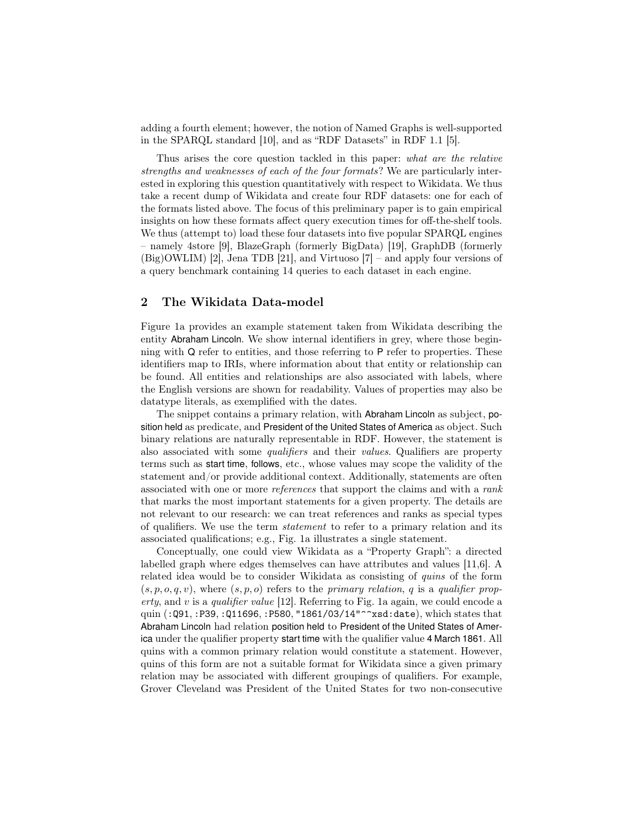adding a fourth element; however, the notion of Named Graphs is well-supported in the SPARQL standard [\[10\]](#page-14-7), and as "RDF Datasets" in RDF 1.1 [\[5\]](#page-13-2).

Thus arises the core question tackled in this paper: what are the relative strengths and weaknesses of each of the four formats? We are particularly interested in exploring this question quantitatively with respect to Wikidata. We thus take a recent dump of Wikidata and create four RDF datasets: one for each of the formats listed above. The focus of this preliminary paper is to gain empirical insights on how these formats affect query execution times for off-the-shelf tools. We thus (attempt to) load these four datasets into five popular SPARQL engines – namely 4store [\[9\]](#page-14-8), BlazeGraph (formerly BigData) [\[19\]](#page-14-9), GraphDB (formerly (Big)OWLIM) [\[2\]](#page-13-3), Jena TDB [\[21\]](#page-14-10), and Virtuoso [\[7\]](#page-14-11) – and apply four versions of a query benchmark containing 14 queries to each dataset in each engine.

## 2 The Wikidata Data-model

Figure [1a](#page-4-0) provides an example statement taken from Wikidata describing the entity Abraham Lincoln. We show internal identifiers in grey, where those beginning with Q refer to entities, and those referring to P refer to properties. These identifiers map to IRIs, where information about that entity or relationship can be found. All entities and relationships are also associated with labels, where the English versions are shown for readability. Values of properties may also be datatype literals, as exemplified with the dates.

The snippet contains a primary relation, with Abraham Lincoln as subject, position held as predicate, and President of the United States of America as object. Such binary relations are naturally representable in RDF. However, the statement is also associated with some qualifiers and their values. Qualifiers are property terms such as start time, follows, etc., whose values may scope the validity of the statement and/or provide additional context. Additionally, statements are often associated with one or more references that support the claims and with a rank that marks the most important statements for a given property. The details are not relevant to our research: we can treat references and ranks as special types of qualifiers. We use the term statement to refer to a primary relation and its associated qualifications; e.g., Fig. [1a](#page-4-0) illustrates a single statement.

Conceptually, one could view Wikidata as a "Property Graph": a directed labelled graph where edges themselves can have attributes and values [\[11,](#page-14-12)[6\]](#page-14-13). A related idea would be to consider Wikidata as consisting of quins of the form  $(s, p, o, q, v)$ , where  $(s, p, o)$  refers to the *primary relation*, q is a qualifier property, and  $v$  is a qualifier value [\[12\]](#page-14-14). Referring to Fig. [1a](#page-4-0) again, we could encode a quin (:Q91, :P39, :Q11696, :P580, "1861/03/14"^^xsd:date), which states that Abraham Lincoln had relation position held to President of the United States of America under the qualifier property start time with the qualifier value 4 March 1861. All quins with a common primary relation would constitute a statement. However, quins of this form are not a suitable format for Wikidata since a given primary relation may be associated with different groupings of qualifiers. For example, Grover Cleveland was President of the United States for two non-consecutive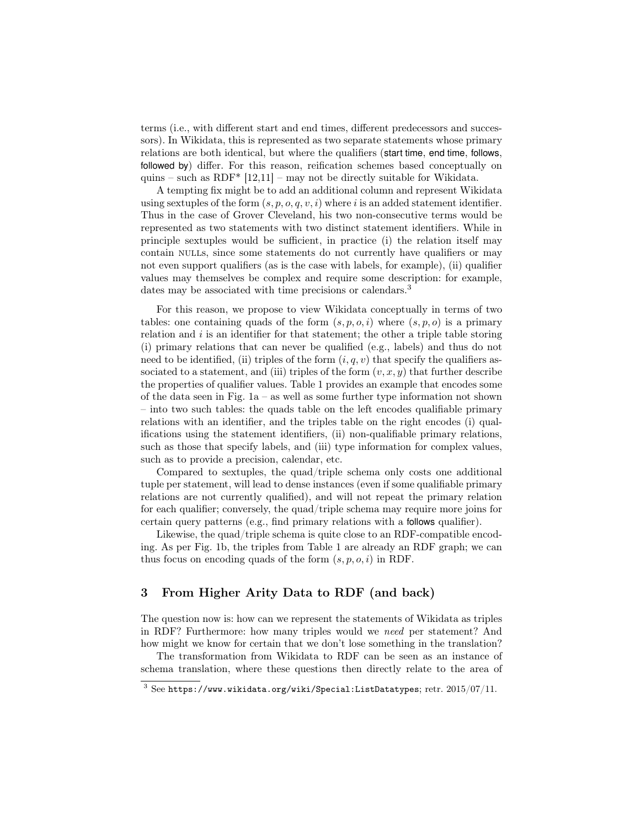terms (i.e., with different start and end times, different predecessors and successors). In Wikidata, this is represented as two separate statements whose primary relations are both identical, but where the qualifiers (start time, end time, follows, followed by) differ. For this reason, reification schemes based conceptually on quins – such as RDF\*  $[12,11]$  $[12,11]$  – may not be directly suitable for Wikidata.

A tempting fix might be to add an additional column and represent Wikidata using sextuples of the form  $(s, p, o, q, v, i)$  where i is an added statement identifier. Thus in the case of Grover Cleveland, his two non-consecutive terms would be represented as two statements with two distinct statement identifiers. While in principle sextuples would be sufficient, in practice (i) the relation itself may contain nulls, since some statements do not currently have qualifiers or may not even support qualifiers (as is the case with labels, for example), (ii) qualifier values may themselves be complex and require some description: for example, dates may be associated with time precisions or calendars.<sup>[3](#page-3-0)</sup>

For this reason, we propose to view Wikidata conceptually in terms of two tables: one containing quads of the form  $(s, p, o, i)$  where  $(s, p, o)$  is a primary relation and  $i$  is an identifier for that statement; the other a triple table storing (i) primary relations that can never be qualified (e.g., labels) and thus do not need to be identified, (ii) triples of the form  $(i, q, v)$  that specify the qualifiers associated to a statement, and (iii) triples of the form  $(v, x, y)$  that further describe the properties of qualifier values. Table [1](#page-5-0) provides an example that encodes some of the data seen in Fig. [1a](#page-4-0) – as well as some further type information not shown – into two such tables: the quads table on the left encodes qualifiable primary relations with an identifier, and the triples table on the right encodes (i) qualifications using the statement identifiers, (ii) non-qualifiable primary relations, such as those that specify labels, and (iii) type information for complex values, such as to provide a precision, calendar, etc.

Compared to sextuples, the quad/triple schema only costs one additional tuple per statement, will lead to dense instances (even if some qualifiable primary relations are not currently qualified), and will not repeat the primary relation for each qualifier; conversely, the quad/triple schema may require more joins for certain query patterns (e.g., find primary relations with a follows qualifier).

Likewise, the quad/triple schema is quite close to an RDF-compatible encoding. As per Fig. [1b,](#page-4-0) the triples from Table [1](#page-5-0) are already an RDF graph; we can thus focus on encoding quads of the form  $(s, p, o, i)$  in RDF.

## 3 From Higher Arity Data to RDF (and back)

The question now is: how can we represent the statements of Wikidata as triples in RDF? Furthermore: how many triples would we need per statement? And how might we know for certain that we don't lose something in the translation?

The transformation from Wikidata to RDF can be seen as an instance of schema translation, where these questions then directly relate to the area of

<span id="page-3-0"></span> $3$  See <https://www.wikidata.org/wiki/Special:ListDatatypes>; retr. 2015/07/11.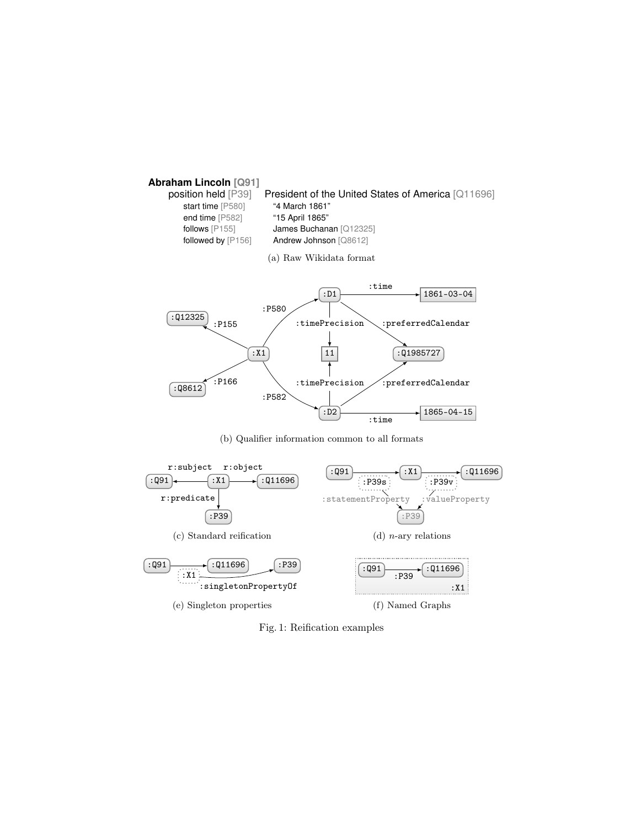<span id="page-4-0"></span>

(b) Qualifier information common to all formats



Fig. 1: Reification examples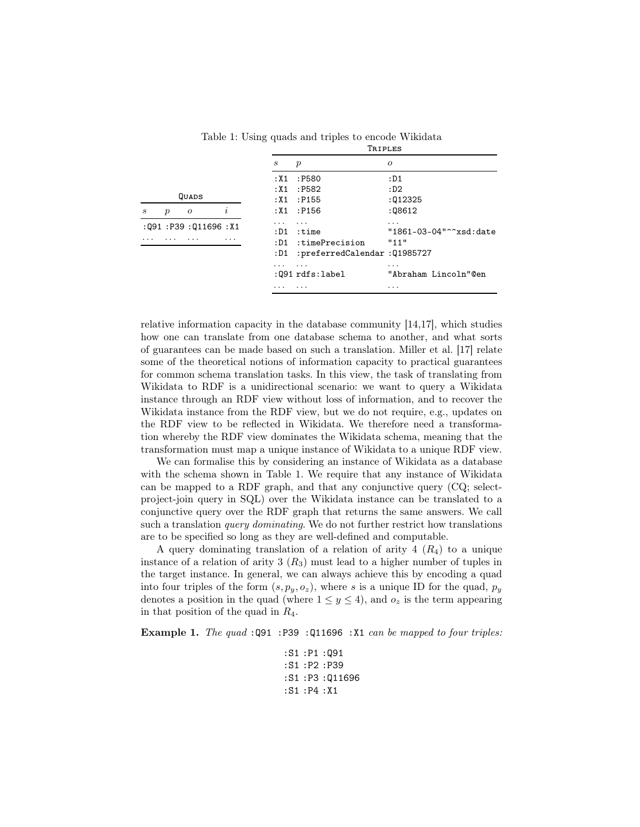<span id="page-5-0"></span>

|                    |                  |                |          | $\boldsymbol{s}$ | $\boldsymbol{p}$                           | 0                         |  |  |  |  |
|--------------------|------------------|----------------|----------|------------------|--------------------------------------------|---------------------------|--|--|--|--|
|                    |                  |                |          | : X 1            | :P580                                      | : D1                      |  |  |  |  |
|                    |                  |                |          |                  | :X1:P582                                   | : D2                      |  |  |  |  |
| QUADS              |                  |                |          |                  | :X1 : P155                                 | :012325                   |  |  |  |  |
| S                  | $\boldsymbol{p}$ | $\overline{O}$ | $\imath$ |                  | :X1 : P156                                 | :08612                    |  |  |  |  |
| :Q91:P39:Q11696:X1 |                  |                |          | .                | .                                          |                           |  |  |  |  |
|                    |                  |                |          | : D1             | :time                                      | "1861-03-04"^^xsd:date    |  |  |  |  |
|                    | .                |                | .        | : D1             | :timePrecision                             | "11"                      |  |  |  |  |
|                    |                  |                |          | :D1              | :preferredCalendar:Q1985727                |                           |  |  |  |  |
|                    |                  |                |          | .                | $\cdot$ $\cdot$ $\cdot$<br>:Q91 rdfs:label | .<br>"Abraham Lincoln"@en |  |  |  |  |
|                    |                  |                |          | .                | .                                          | $\cdots$                  |  |  |  |  |
|                    |                  |                |          |                  |                                            |                           |  |  |  |  |

Table 1: Using quads and triples to encode Wikidata Triples

relative information capacity in the database community [\[14,](#page-14-15)[17\]](#page-14-16), which studies how one can translate from one database schema to another, and what sorts of guarantees can be made based on such a translation. Miller et al. [\[17\]](#page-14-16) relate some of the theoretical notions of information capacity to practical guarantees for common schema translation tasks. In this view, the task of translating from Wikidata to RDF is a unidirectional scenario: we want to query a Wikidata instance through an RDF view without loss of information, and to recover the Wikidata instance from the RDF view, but we do not require, e.g., updates on the RDF view to be reflected in Wikidata. We therefore need a transformation whereby the RDF view dominates the Wikidata schema, meaning that the transformation must map a unique instance of Wikidata to a unique RDF view.

We can formalise this by considering an instance of Wikidata as a database with the schema shown in Table [1.](#page-5-0) We require that any instance of Wikidata can be mapped to a RDF graph, and that any conjunctive query (CQ; selectproject-join query in SQL) over the Wikidata instance can be translated to a conjunctive query over the RDF graph that returns the same answers. We call such a translation *query dominating*. We do not further restrict how translations are to be specified so long as they are well-defined and computable.

A query dominating translation of a relation of arity  $4(R_4)$  to a unique instance of a relation of arity 3  $(R_3)$  must lead to a higher number of tuples in the target instance. In general, we can always achieve this by encoding a quad into four triples of the form  $(s, p_y, o_z)$ , where s is a unique ID for the quad,  $p_y$ denotes a position in the quad (where  $1 \leq y \leq 4$ ), and  $o_z$  is the term appearing in that position of the quad in  $R_4$ .

<span id="page-5-1"></span>Example 1. The quad :Q91 :P39 :Q11696 :X1 can be mapped to four triples:

:S1 :P1 :Q91 :S1 :P2 :P39 :S1 :P3 :Q11696 :S1 :P4 :X1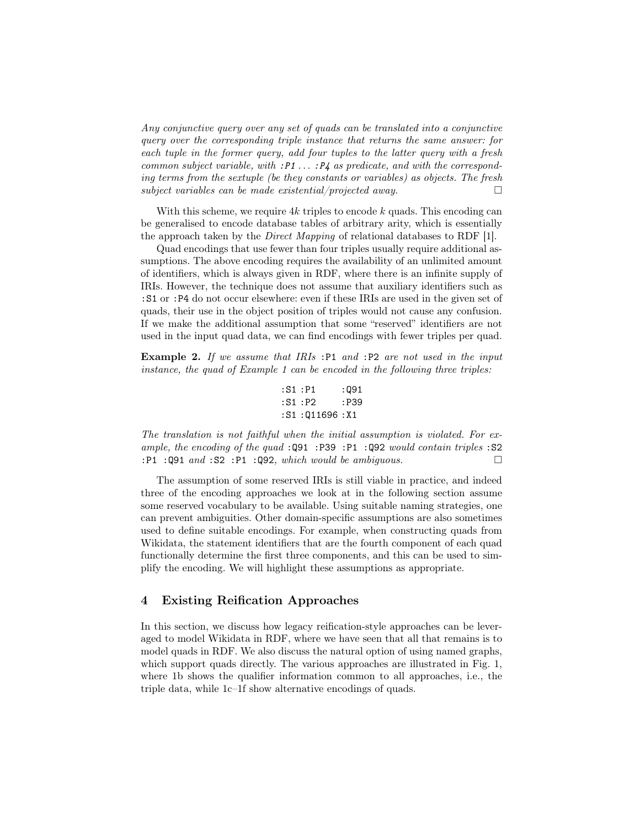Any conjunctive query over any set of quads can be translated into a conjunctive query over the corresponding triple instance that returns the same answer: for each tuple in the former query, add four tuples to the latter query with a fresh common subject variable, with  $P1 \ldots P4$  as predicate, and with the corresponding terms from the sextuple (be they constants or variables) as objects. The fresh subject variables can be made existential/projected away.

With this scheme, we require  $4k$  triples to encode k quads. This encoding can be generalised to encode database tables of arbitrary arity, which is essentially the approach taken by the Direct Mapping of relational databases to RDF [\[1\]](#page-13-4).

Quad encodings that use fewer than four triples usually require additional assumptions. The above encoding requires the availability of an unlimited amount of identifiers, which is always given in RDF, where there is an infinite supply of IRIs. However, the technique does not assume that auxiliary identifiers such as :S1 or :P4 do not occur elsewhere: even if these IRIs are used in the given set of quads, their use in the object position of triples would not cause any confusion. If we make the additional assumption that some "reserved" identifiers are not used in the input quad data, we can find encodings with fewer triples per quad.

Example 2. If we assume that IRIs :P1 and :P2 are not used in the input instance, the quad of Example [1](#page-5-1) can be encoded in the following three triples:

$$
:S1 : P1 :: Q91\n:S1 : P2 :: P39\n:S1 : Q11696 : X1
$$

The translation is not faithful when the initial assumption is violated. For example, the encoding of the quad :Q91 :P39 :P1 :Q92 would contain triples :S2  $:P1 : Q91 \text{ and } S2 : P1 : Q92, \text{ which would be ambiguous.}$ 

The assumption of some reserved IRIs is still viable in practice, and indeed three of the encoding approaches we look at in the following section assume some reserved vocabulary to be available. Using suitable naming strategies, one can prevent ambiguities. Other domain-specific assumptions are also sometimes used to define suitable encodings. For example, when constructing quads from Wikidata, the statement identifiers that are the fourth component of each quad functionally determine the first three components, and this can be used to simplify the encoding. We will highlight these assumptions as appropriate.

# 4 Existing Reification Approaches

In this section, we discuss how legacy reification-style approaches can be leveraged to model Wikidata in RDF, where we have seen that all that remains is to model quads in RDF. We also discuss the natural option of using named graphs, which support quads directly. The various approaches are illustrated in Fig. [1,](#page-4-0) where [1b](#page-4-0) shows the qualifier information common to all approaches, i.e., the triple data, while [1c–1f](#page-4-0) show alternative encodings of quads.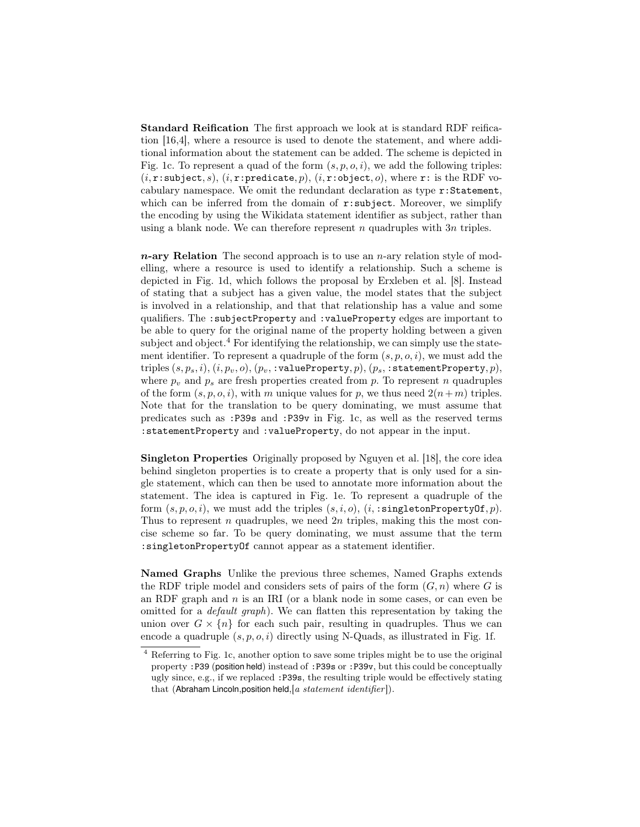Standard Reification The first approach we look at is standard RDF reification [\[16](#page-14-4)[,4\]](#page-13-1), where a resource is used to denote the statement, and where additional information about the statement can be added. The scheme is depicted in Fig. [1c.](#page-4-0) To represent a quad of the form  $(s, p, o, i)$ , we add the following triples:  $(i, r: \text{subject}, s), (i, r: \text{predicate}, p), (i, r: \text{object}, o), \text{where } r: \text{ is the RDF vo-}$ cabulary namespace. We omit the redundant declaration as type r:Statement, which can be inferred from the domain of  $r:subject$ . Moreover, we simplify the encoding by using the Wikidata statement identifier as subject, rather than using a blank node. We can therefore represent n quadruples with  $3n$  triples.

 $n$ -ary Relation The second approach is to use an  $n$ -ary relation style of modelling, where a resource is used to identify a relationship. Such a scheme is depicted in Fig. [1d,](#page-4-0) which follows the proposal by Erxleben et al. [\[8\]](#page-14-5). Instead of stating that a subject has a given value, the model states that the subject is involved in a relationship, and that that relationship has a value and some qualifiers. The :subjectProperty and :valueProperty edges are important to be able to query for the original name of the property holding between a given subject and object.<sup>[4](#page-7-0)</sup> For identifying the relationship, we can simply use the statement identifier. To represent a quadruple of the form  $(s, p, o, i)$ , we must add the triples  $(s, p_s, i)$ ,  $(i, p_v, o)$ ,  $(p_v, : \mathtt{valueProperty}, p)$ ,  $(p_s, : \mathtt{statementProperty}, p)$ , where  $p_v$  and  $p_s$  are fresh properties created from p. To represent n quadruples of the form  $(s, p, o, i)$ , with m unique values for p, we thus need  $2(n+m)$  triples. Note that for the translation to be query dominating, we must assume that predicates such as :P39s and :P39v in Fig. [1c,](#page-4-0) as well as the reserved terms :statementProperty and :valueProperty, do not appear in the input.

Singleton Properties Originally proposed by Nguyen et al. [\[18\]](#page-14-6), the core idea behind singleton properties is to create a property that is only used for a single statement, which can then be used to annotate more information about the statement. The idea is captured in Fig. [1e.](#page-4-0) To represent a quadruple of the form  $(s, p, o, i)$ , we must add the triples  $(s, i, o)$ ,  $(i, \text{singletonPropertyOf}, p)$ . Thus to represent n quadruples, we need  $2n$  triples, making this the most concise scheme so far. To be query dominating, we must assume that the term :singletonPropertyOf cannot appear as a statement identifier.

Named Graphs Unlike the previous three schemes, Named Graphs extends the RDF triple model and considers sets of pairs of the form  $(G, n)$  where G is an RDF graph and  $n$  is an IRI (or a blank node in some cases, or can even be omitted for a default graph). We can flatten this representation by taking the union over  $G \times \{n\}$  for each such pair, resulting in quadruples. Thus we can encode a quadruple  $(s, p, o, i)$  directly using N-Quads, as illustrated in Fig. [1f.](#page-4-0)

<span id="page-7-0"></span><sup>4</sup> Referring to Fig. [1c,](#page-4-0) another option to save some triples might be to use the original property :P39 (position held) instead of :P39s or :P39v, but this could be conceptually ugly since, e.g., if we replaced :P39s, the resulting triple would be effectively stating that (Abraham Lincoln, position held,  $[a$  statement identifier]).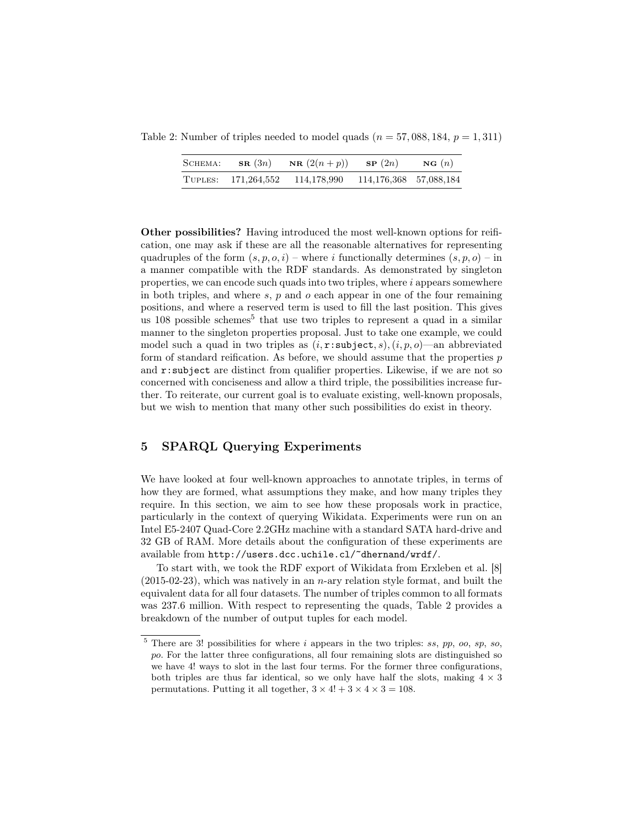<span id="page-8-1"></span>Table 2: Number of triples needed to model quads  $(n = 57,088,184, p = 1,311)$ 

| SCHEMA: | $\mathbf{SR}(3n)$ | <b>NR</b> $(2(n+p))$ | SP(2n)                 | NG(n) |
|---------|-------------------|----------------------|------------------------|-------|
| TUPLES: | 171,264,552       | 114,178,990          | 114,176,368 57,088,184 |       |

Other possibilities? Having introduced the most well-known options for reification, one may ask if these are all the reasonable alternatives for representing quadruples of the form  $(s, p, o, i)$  – where i functionally determines  $(s, p, o)$  – in a manner compatible with the RDF standards. As demonstrated by singleton properties, we can encode such quads into two triples, where  $i$  appears somewhere in both triples, and where  $s, p$  and  $o$  each appear in one of the four remaining positions, and where a reserved term is used to fill the last position. This gives us 108 possible schemes<sup>[5](#page-8-0)</sup> that use two triples to represent a quad in a similar manner to the singleton properties proposal. Just to take one example, we could model such a quad in two triples as  $(i, r: \text{subject}, s), (i, p, o)$ —an abbreviated form of standard reification. As before, we should assume that the properties  $p$ and r:subject are distinct from qualifier properties. Likewise, if we are not so concerned with conciseness and allow a third triple, the possibilities increase further. To reiterate, our current goal is to evaluate existing, well-known proposals, but we wish to mention that many other such possibilities do exist in theory.

# 5 SPARQL Querying Experiments

We have looked at four well-known approaches to annotate triples, in terms of how they are formed, what assumptions they make, and how many triples they require. In this section, we aim to see how these proposals work in practice, particularly in the context of querying Wikidata. Experiments were run on an Intel E5-2407 Quad-Core 2.2GHz machine with a standard SATA hard-drive and 32 GB of RAM. More details about the configuration of these experiments are available from <http://users.dcc.uchile.cl/~dhernand/wrdf/>.

To start with, we took the RDF export of Wikidata from Erxleben et al. [\[8\]](#page-14-5)  $(2015-02-23)$ , which was natively in an *n*-ary relation style format, and built the equivalent data for all four datasets. The number of triples common to all formats was 237.6 million. With respect to representing the quads, Table [2](#page-8-1) provides a breakdown of the number of output tuples for each model.

<span id="page-8-0"></span> $5$  There are 3! possibilities for where i appears in the two triples: ss, pp, oo, sp, so, po. For the latter three configurations, all four remaining slots are distinguished so we have 4! ways to slot in the last four terms. For the former three configurations, both triples are thus far identical, so we only have half the slots, making  $4 \times 3$ permutations. Putting it all together,  $3 \times 4! + 3 \times 4 \times 3 = 108$ .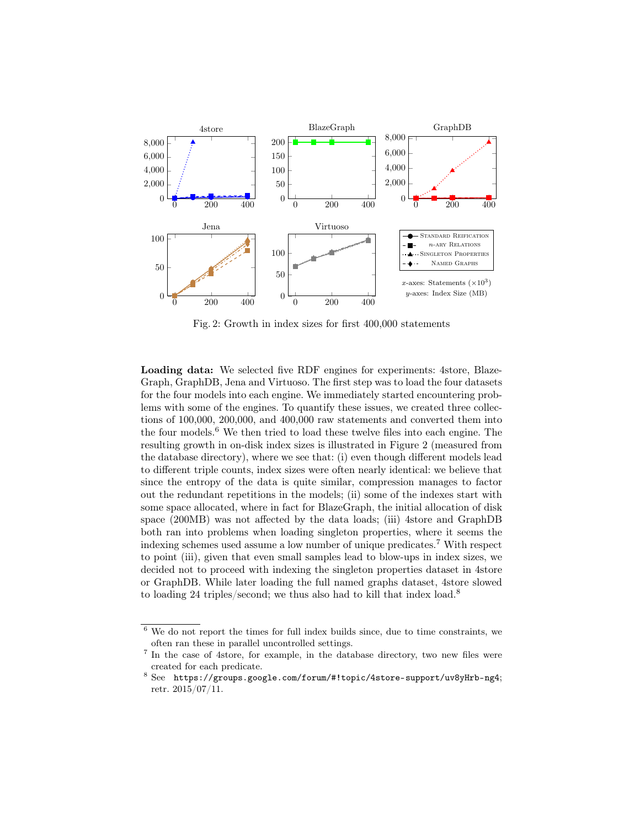<span id="page-9-1"></span>

Fig. 2: Growth in index sizes for first 400,000 statements

Loading data: We selected five RDF engines for experiments: 4store, Blaze-Graph, GraphDB, Jena and Virtuoso. The first step was to load the four datasets for the four models into each engine. We immediately started encountering problems with some of the engines. To quantify these issues, we created three collections of 100,000, 200,000, and 400,000 raw statements and converted them into the four models.[6](#page-9-0) We then tried to load these twelve files into each engine. The resulting growth in on-disk index sizes is illustrated in Figure [2](#page-9-1) (measured from the database directory), where we see that: (i) even though different models lead to different triple counts, index sizes were often nearly identical: we believe that since the entropy of the data is quite similar, compression manages to factor out the redundant repetitions in the models; (ii) some of the indexes start with some space allocated, where in fact for BlazeGraph, the initial allocation of disk space (200MB) was not affected by the data loads; (iii) 4store and GraphDB both ran into problems when loading singleton properties, where it seems the indexing schemes used assume a low number of unique predicates.<sup>[7](#page-9-2)</sup> With respect to point (iii), given that even small samples lead to blow-ups in index sizes, we decided not to proceed with indexing the singleton properties dataset in 4store or GraphDB. While later loading the full named graphs dataset, 4store slowed to loading 24 triples/second; we thus also had to kill that index load.<sup>[8](#page-9-3)</sup>

<span id="page-9-0"></span> $6$  We do not report the times for full index builds since, due to time constraints, we often ran these in parallel uncontrolled settings.

<span id="page-9-2"></span><sup>7</sup> In the case of 4store, for example, in the database directory, two new files were created for each predicate.

<span id="page-9-3"></span><sup>8</sup> See <https://groups.google.com/forum/#!topic/4store-support/uv8yHrb-ng4>; retr. 2015/07/11.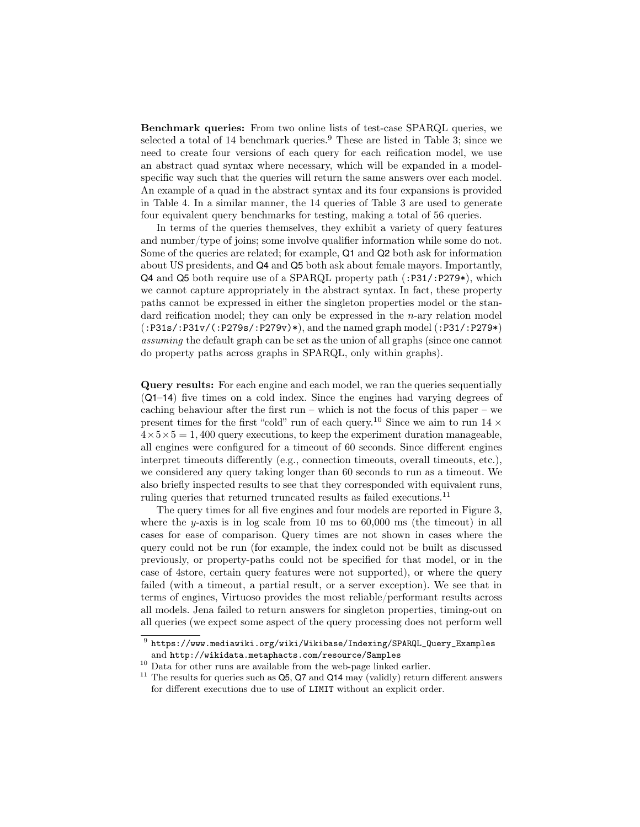Benchmark queries: From two online lists of test-case SPARQL queries, we selected a total of 14 benchmark queries.<sup>[9](#page-10-0)</sup> These are listed in Table [3;](#page-11-0) since we need to create four versions of each query for each reification model, we use an abstract quad syntax where necessary, which will be expanded in a modelspecific way such that the queries will return the same answers over each model. An example of a quad in the abstract syntax and its four expansions is provided in Table [4.](#page-12-0) In a similar manner, the 14 queries of Table [3](#page-11-0) are used to generate four equivalent query benchmarks for testing, making a total of 56 queries.

In terms of the queries themselves, they exhibit a variety of query features and number/type of joins; some involve qualifier information while some do not. Some of the queries are related; for example, Q1 and Q2 both ask for information about US presidents, and Q4 and Q5 both ask about female mayors. Importantly, Q4 and Q5 both require use of a SPARQL property path (:P31/:P279\*), which we cannot capture appropriately in the abstract syntax. In fact, these property paths cannot be expressed in either the singleton properties model or the standard reification model; they can only be expressed in the  $n$ -ary relation model (:P31s/:P31v/(:P279s/:P279v)\*), and the named graph model (:P31/:P279\*) assuming the default graph can be set as the union of all graphs (since one cannot do property paths across graphs in SPARQL, only within graphs).

Query results: For each engine and each model, we ran the queries sequentially (Q1–14) five times on a cold index. Since the engines had varying degrees of caching behaviour after the first run – which is not the focus of this paper – we present times for the first "cold" run of each query.<sup>[10](#page-10-1)</sup> Since we aim to run  $14 \times$  $4 \times 5 \times 5 = 1,400$  query executions, to keep the experiment duration manageable, all engines were configured for a timeout of 60 seconds. Since different engines interpret timeouts differently (e.g., connection timeouts, overall timeouts, etc.), we considered any query taking longer than 60 seconds to run as a timeout. We also briefly inspected results to see that they corresponded with equivalent runs, ruling queries that returned truncated results as failed executions.<sup>[11](#page-10-2)</sup>

The query times for all five engines and four models are reported in Figure [3,](#page-15-0) where the y-axis is in log scale from 10 ms to  $60,000$  ms (the timeout) in all cases for ease of comparison. Query times are not shown in cases where the query could not be run (for example, the index could not be built as discussed previously, or property-paths could not be specified for that model, or in the case of 4store, certain query features were not supported), or where the query failed (with a timeout, a partial result, or a server exception). We see that in terms of engines, Virtuoso provides the most reliable/performant results across all models. Jena failed to return answers for singleton properties, timing-out on all queries (we expect some aspect of the query processing does not perform well

<span id="page-10-0"></span> $^9$  [https://www.mediawiki.org/wiki/Wikibase/Indexing/SPARQL\\_Query\\_Examples](https://www.mediawiki.org/wiki/Wikibase/Indexing/SPARQL_Query_Examples) and <http://wikidata.metaphacts.com/resource/Samples>

<span id="page-10-1"></span> $^{10}$  Data for other runs are available from the web-page linked earlier.

<span id="page-10-2"></span> $11$  The results for queries such as Q5, Q7 and Q14 may (validly) return different answers for different executions due to use of LIMIT without an explicit order.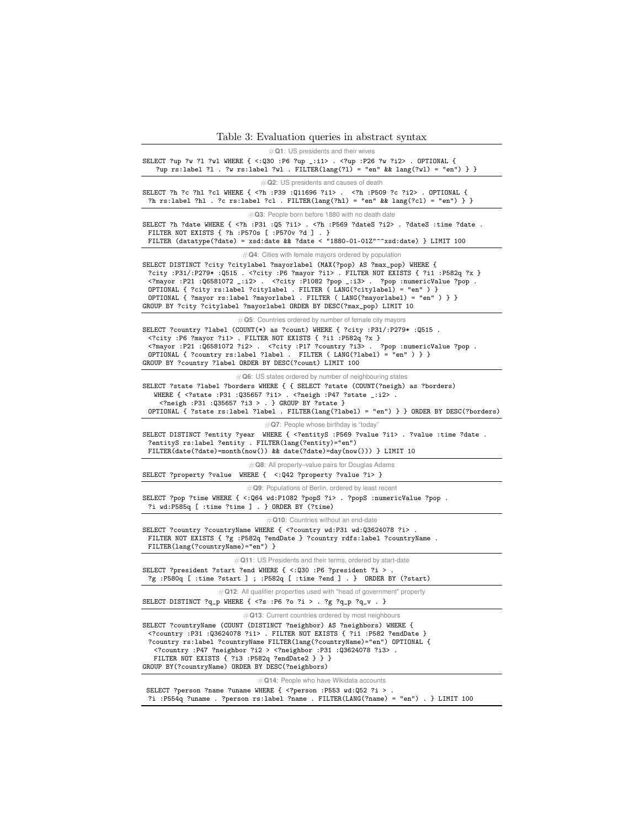Table 3: Evaluation queries in abstract syntax

<span id="page-11-0"></span>#**Q1**: US presidents and their wives SELECT ?up ?w ?l ?wl WHERE { <:Q30 :P6 ?up \_:i1> . <?up :P26 ?w ?i2> . OPTIONAL { ?up rs:label ?l . ?w rs:label ?wl . FILTER(lang(?l) = "en" && lang(?wl) = "en") } } #**Q2**: US presidents and causes of death SELECT ?h ?c ?hl ?cl WHERE { <?h :P39 :Q11696 ?i1> . <?h :P509 ?c ?i2> . OPTIONAL { ?h rs:label ?hl . ?c rs:label ?cl . FILTER(lang(?hl) = "en" && lang(?cl) = "en") } } #**Q3**: People born before 1880 with no death date SELECT ?h ?date WHERE { <?h :P31 :Q5 ?i1> . <?h :P569 ?dateS ?i2> . ?dateS :time ?date . FILTER NOT EXISTS { ?h :P570s [ :P570v ?d ] . } FILTER (datatype(?date) = xsd:date && ?date < "1880-01-01Z"^^xsd:date) } LIMIT 100 #**Q4**: Cities with female mayors ordered by population SELECT DISTINCT ?city ?citylabel ?mayorlabel (MAX(?pop) AS ?max\_pop) WHERE { ?city :P31/:P279\* :Q515 . <?city :P6 ?mayor ?i1> . FILTER NOT EXISTS { ?i1 :P582q ?x } <?mayor :P21 :Q6581072 \_:i2> . <?city :P1082 ?pop \_:i3> . ?pop :numericValue ?pop . OPTIONAL { ?city rs:label ?citylabel . FILTER ( LANG(?citylabel) = "en" ) } OPTIONAL { ?mayor rs:label ?mayorlabel . FILTER ( LANG(?mayorlabel) = "en" ) } } GROUP BY ?city ?citylabel ?mayorlabel ORDER BY DESC(?max\_pop) LIMIT 10 #**Q5**: Countries ordered by number of female city mayors SELECT ?country ?label (COUNT(\*) as ?count) WHERE { ?city :P31/:P279\* :Q515 . <?city :P6 ?mayor ?i1> . FILTER NOT EXISTS { ?i1 :P582q ?x } <?mayor :P21 :Q6581072 ?i2> . <?city :P17 ?country ?i3> . ?pop :numericValue ?pop . OPTIONAL { ?country rs:label ?label . FILTER ( LANG(?label) = "en" ) } } GROUP BY ?country ?label ORDER BY DESC(?count) LIMIT 100 #**Q6**: US states ordered by number of neighbouring states SELECT ?state ?label ?borders WHERE { { SELECT ?state (COUNT(?neigh) as ?borders) WHERE { <?state :P31 :Q35657 ?i1> . <?neigh :P47 ?state \_:i2> . <?neigh :P31 :Q35657 ?i3 > . } GROUP BY ?state } OPTIONAL { ?state rs:label ?label . FILTER(lang(?label) = "en") } } ORDER BY DESC(?borders) #**Q7**: People whose birthday is "today" SELECT DISTINCT ?entity ?year WHERE { <?entityS :P569 ?value ?i1> . ?value :time ?date . ?entityS rs:label ?entity . FILTER(lang(?entity)="en") FILTER(date(?date)=month(now()) && date(?date)=day(now())) } LIMIT 10 #**Q8**: All property–value pairs for Douglas Adams SELECT ?property ?value WHERE { <:Q42 ?property ?value ?i> } #**Q9**: Populations of Berlin, ordered by least recent SELECT ?pop ?time WHERE { <:Q64 wd:P1082 ?popS ?i> . ?popS :numericValue ?pop . ?i wd:P585q [ :time ?time ] . } ORDER BY (?time) #**Q10**: Countries without an end-date SELECT ?country ?countryName WHERE { <?country wd:P31 wd:Q3624078 ?i> FILTER NOT EXISTS { ?g : P582q ?endDate } ?country rdfs: label ?countryName . FILTER(lang(?countryName)="en") } #**Q11**: US Presidents and their terms, ordered by start-date SELECT ?president ?start ?end WHERE { <: Q30 : P6 ?president ?i > ?g :P580q [ :time ?start ] ; :P582q [ :time ?end ] . } ORDER BY (?start) #**Q12**: All qualifier properties used with "head of government" property SELECT DISTINCT  $?q_p$  where { <?s :P6 ?o ?i > . ?g  $?q_p$   $?q_v$  . } #**Q13**: Current countries ordered by most neighbours SELECT ?countryName (COUNT (DISTINCT ?neighbor) AS ?neighbors) WHERE { <?country :P31 :Q3624078 ?i1> . FILTER NOT EXISTS { ?i1 :P582 ?endDate } ?country rs:label ?countryName FILTER(lang(?countryName)="en") OPTIONAL { <?country :P47 ?neighbor ?i2 > <?neighbor :P31 :Q3624078 ?i3> . FILTER NOT EXISTS { ?i3 : P582q ?endDate2 } } } GROUP BY(?countryName) ORDER BY DESC(?neighbors) #**Q14**: People who have Wikidata accounts SELECT ?person ?name ?uname WHERE { <?person :P553 wd:Q52 ?i > ?i :P554q ?uname . ?person rs:label ?name . FILTER(LANG(?name) = "en") . } LIMIT 100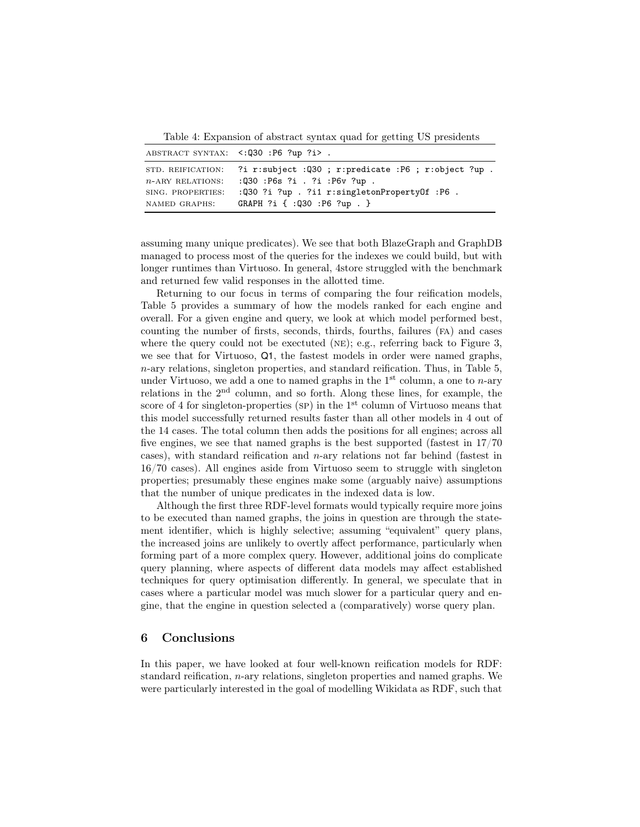<span id="page-12-0"></span>Table 4: Expansion of abstract syntax quad for getting US presidents

|                     | ABSTRACT SYNTAX: <: 030 : P6 ?up ?i>.                     |
|---------------------|-----------------------------------------------------------|
| STD. REIFICATION:   | ?i $r:subject$ :Q30 ; $r:predicate$ :P6 ; $r:object$ ?up. |
| $n$ -ARY RELATIONS: | :Q30 :P6s ?i . ?i :P6v ?up .                              |
| SING. PROPERTIES:   | : Q30 ?i ?up . ?i1 r:singletonPropertyOf :P6 .            |
| NAMED GRAPHS:       | GRAPH ?i { :Q30 :P6 ?up . }                               |

assuming many unique predicates). We see that both BlazeGraph and GraphDB managed to process most of the queries for the indexes we could build, but with longer runtimes than Virtuoso. In general, 4store struggled with the benchmark and returned few valid responses in the allotted time.

Returning to our focus in terms of comparing the four reification models, Table [5](#page-13-5) provides a summary of how the models ranked for each engine and overall. For a given engine and query, we look at which model performed best, counting the number of firsts, seconds, thirds, fourths, failures (fa) and cases where the query could not be exectuted ( $NE$ ); e.g., referring back to Figure [3,](#page-15-0) we see that for Virtuoso, Q1, the fastest models in order were named graphs, n-ary relations, singleton properties, and standard reification. Thus, in Table [5,](#page-13-5) under Virtuoso, we add a one to named graphs in the  $1<sup>st</sup>$  column, a one to *n*-ary relations in the  $2<sup>nd</sup>$  column, and so forth. Along these lines, for example, the score of 4 for singleton-properties (sp) in the  $1<sup>st</sup>$  column of Virtuoso means that this model successfully returned results faster than all other models in 4 out of the 14 cases. The total column then adds the positions for all engines; across all five engines, we see that named graphs is the best supported (fastest in 17/70 cases), with standard reification and  $n$ -ary relations not far behind (fastest in 16/70 cases). All engines aside from Virtuoso seem to struggle with singleton properties; presumably these engines make some (arguably naive) assumptions that the number of unique predicates in the indexed data is low.

Although the first three RDF-level formats would typically require more joins to be executed than named graphs, the joins in question are through the statement identifier, which is highly selective; assuming "equivalent" query plans, the increased joins are unlikely to overtly affect performance, particularly when forming part of a more complex query. However, additional joins do complicate query planning, where aspects of different data models may affect established techniques for query optimisation differently. In general, we speculate that in cases where a particular model was much slower for a particular query and engine, that the engine in question selected a (comparatively) worse query plan.

#### 6 Conclusions

In this paper, we have looked at four well-known reification models for RDF: standard reification, n-ary relations, singleton properties and named graphs. We were particularly interested in the goal of modelling Wikidata as RDF, such that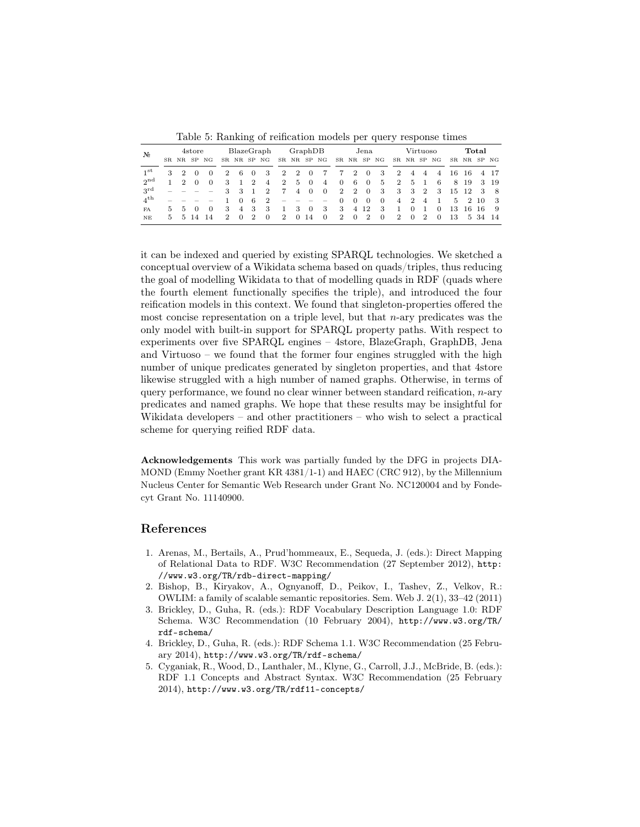Table 5: Ranking of reification models per query response times

<span id="page-13-5"></span>

| N <sub>2</sub>  | 4store |                |          |          | BlazeGraph     |                |                | GraphDB        |                 |                | Jena           |                                 |                |                | Virtuoso       |                |                |                | Total          |                |    |             |         |      |
|-----------------|--------|----------------|----------|----------|----------------|----------------|----------------|----------------|-----------------|----------------|----------------|---------------------------------|----------------|----------------|----------------|----------------|----------------|----------------|----------------|----------------|----|-------------|---------|------|
|                 |        | SR NR          | SP.      | NG       |                |                |                | SR NR SP NG    |                 | SR NR SP NG    |                |                                 |                |                |                | SR NR SP NG    |                |                |                | SR NR SP NG    |    | SR NR SP NG |         |      |
| 1 <sup>st</sup> | 3      | $\mathbf{2}$   |          |          | $\overline{2}$ | -6             | $\theta$       | -3             | $\overline{2}$  | 2              | $\overline{0}$ | $\overline{7}$                  | $\overline{7}$ | 2              | $\Omega$       | -3             | $\overline{2}$ | 4              | $\overline{4}$ | $\overline{4}$ | 16 | -16         |         | 4 17 |
| $2^{\text{nd}}$ | 1      | $\mathcal{D}$  | $\Omega$ | $\Omega$ | 3              |                | 2              | $\overline{4}$ | $\overline{2}$  | 5              | $\overline{0}$ | $\overline{4}$                  | $\overline{0}$ | 6              | $\overline{0}$ | 5              | 2              | 5              | - 1            | -6             | 8  | -19         |         | 3 19 |
| $3^{\rm rd}$    |        |                |          |          | 3              | -3             |                | $\overline{2}$ | $7\phantom{.0}$ | $\overline{4}$ | $\overline{0}$ | $\overline{0}$                  | $\overline{2}$ | $\overline{2}$ | $\overline{0}$ | - 3            | -3             | -3             | $\overline{2}$ | -3             |    | 15 12       | -3      | - 8  |
| $4^{\text{th}}$ |        |                |          |          |                | $\Omega$       | 6              | $\mathbf{2}$   |                 |                |                | $\hspace{0.1mm}-\hspace{0.1mm}$ | $\Omega$       | $\theta$       | $\Omega$       | $\overline{0}$ | 4              | $\overline{2}$ | $\overline{4}$ | $\mathbf{1}$   |    | 5 2 10      |         | - 3  |
| <b>FA</b>       | 5.     | 5 <sup>5</sup> | - 0      | $\Omega$ | 3              | $\overline{4}$ | -3             | -3             | 1               | 3              | $\theta$       | 3                               | -3             |                | 4 1 2          | -3             |                | $\Omega$       |                | $\theta$       | 13 |             | 16 16   | - 9  |
| NE              |        | 5 5 14         |          | - 14     | $\mathcal{D}$  | $\Omega$       | $\overline{2}$ | $\theta$       | $\overline{2}$  | $\theta$       | -14            | $\overline{0}$                  | $\overline{2}$ | $\overline{0}$ | 2              | $\overline{0}$ | $\overline{2}$ | $\Omega$       | $\overline{2}$ | $\overline{0}$ | 13 |             | 5 34 14 |      |

it can be indexed and queried by existing SPARQL technologies. We sketched a conceptual overview of a Wikidata schema based on quads/triples, thus reducing the goal of modelling Wikidata to that of modelling quads in RDF (quads where the fourth element functionally specifies the triple), and introduced the four reification models in this context. We found that singleton-properties offered the most concise representation on a triple level, but that  $n$ -ary predicates was the only model with built-in support for SPARQL property paths. With respect to experiments over five SPARQL engines – 4store, BlazeGraph, GraphDB, Jena and Virtuoso – we found that the former four engines struggled with the high number of unique predicates generated by singleton properties, and that 4store likewise struggled with a high number of named graphs. Otherwise, in terms of query performance, we found no clear winner between standard reification, n-ary predicates and named graphs. We hope that these results may be insightful for Wikidata developers – and other practitioners – who wish to select a practical scheme for querying reified RDF data.

Acknowledgements This work was partially funded by the DFG in projects DIA-MOND (Emmy Noether grant KR 4381/1-1) and HAEC (CRC 912), by the Millennium Nucleus Center for Semantic Web Research under Grant No. NC120004 and by Fondecyt Grant No. 11140900.

# References

- <span id="page-13-4"></span>1. Arenas, M., Bertails, A., Prud'hommeaux, E., Sequeda, J. (eds.): Direct Mapping of Relational Data to RDF. W3C Recommendation (27 September 2012), http: //www.w3.org/TR/rdb-direct-mapping/
- <span id="page-13-3"></span>2. Bishop, B., Kiryakov, A., Ognyanoff, D., Peikov, I., Tashev, Z., Velkov, R.: OWLIM: a family of scalable semantic repositories. Sem. Web J. 2(1), 33–42 (2011)
- <span id="page-13-0"></span>3. Brickley, D., Guha, R. (eds.): RDF Vocabulary Description Language 1.0: RDF Schema. W3C Recommendation (10 February 2004), http://www.w3.org/TR/ rdf-schema/
- <span id="page-13-1"></span>4. Brickley, D., Guha, R. (eds.): RDF Schema 1.1. W3C Recommendation (25 February 2014), http://www.w3.org/TR/rdf-schema/
- <span id="page-13-2"></span>5. Cyganiak, R., Wood, D., Lanthaler, M., Klyne, G., Carroll, J.J., McBride, B. (eds.): RDF 1.1 Concepts and Abstract Syntax. W3C Recommendation (25 February 2014), http://www.w3.org/TR/rdf11-concepts/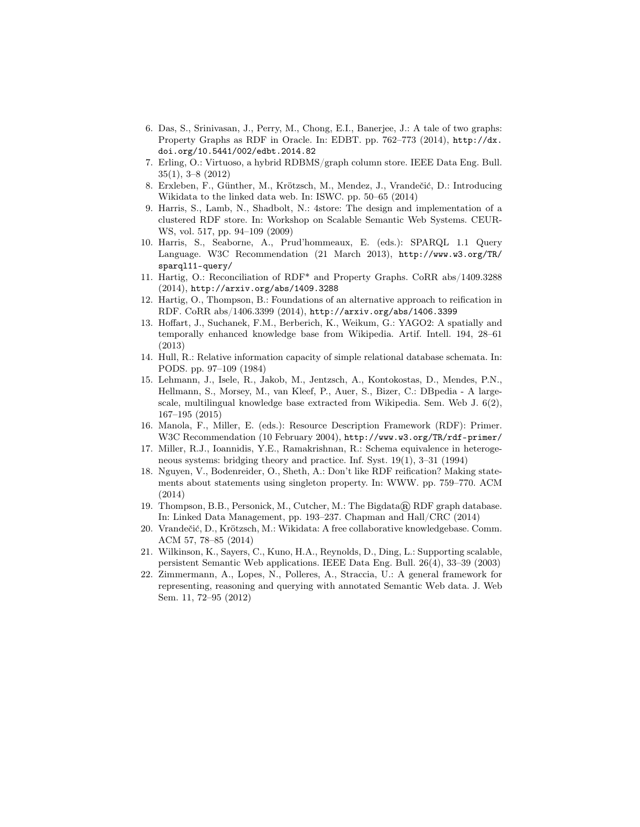- <span id="page-14-13"></span>6. Das, S., Srinivasan, J., Perry, M., Chong, E.I., Banerjee, J.: A tale of two graphs: Property Graphs as RDF in Oracle. In: EDBT. pp. 762–773 (2014), [http://dx.](http://dx.doi.org/10.5441/002/edbt.2014.82) [doi.org/10.5441/002/edbt.2014.82](http://dx.doi.org/10.5441/002/edbt.2014.82)
- <span id="page-14-11"></span>7. Erling, O.: Virtuoso, a hybrid RDBMS/graph column store. IEEE Data Eng. Bull. 35(1), 3–8 (2012)
- <span id="page-14-5"></span>8. Erxleben, F., Günther, M., Krötzsch, M., Mendez, J., Vrandečić, D.: Introducing Wikidata to the linked data web. In: ISWC. pp. 50–65 (2014)
- <span id="page-14-8"></span>9. Harris, S., Lamb, N., Shadbolt, N.: 4store: The design and implementation of a clustered RDF store. In: Workshop on Scalable Semantic Web Systems. CEUR-WS, vol. 517, pp. 94–109 (2009)
- <span id="page-14-7"></span>10. Harris, S., Seaborne, A., Prud'hommeaux, E. (eds.): SPARQL 1.1 Query Language. W3C Recommendation (21 March 2013), http://www.w3.org/TR/ sparql11-query/
- <span id="page-14-12"></span>11. Hartig, O.: Reconciliation of RDF\* and Property Graphs. CoRR abs/1409.3288 (2014), <http://arxiv.org/abs/1409.3288>
- <span id="page-14-14"></span>12. Hartig, O., Thompson, B.: Foundations of an alternative approach to reification in RDF. CoRR abs/1406.3399 (2014), <http://arxiv.org/abs/1406.3399>
- <span id="page-14-2"></span>13. Hoffart, J., Suchanek, F.M., Berberich, K., Weikum, G.: YAGO2: A spatially and temporally enhanced knowledge base from Wikipedia. Artif. Intell. 194, 28–61 (2013)
- <span id="page-14-15"></span>14. Hull, R.: Relative information capacity of simple relational database schemata. In: PODS. pp. 97–109 (1984)
- <span id="page-14-1"></span>15. Lehmann, J., Isele, R., Jakob, M., Jentzsch, A., Kontokostas, D., Mendes, P.N., Hellmann, S., Morsey, M., van Kleef, P., Auer, S., Bizer, C.: DBpedia - A largescale, multilingual knowledge base extracted from Wikipedia. Sem. Web J. 6(2), 167–195 (2015)
- <span id="page-14-4"></span>16. Manola, F., Miller, E. (eds.): Resource Description Framework (RDF): Primer. W3C Recommendation (10 February 2004), http://www.w3.org/TR/rdf-primer/
- <span id="page-14-16"></span>17. Miller, R.J., Ioannidis, Y.E., Ramakrishnan, R.: Schema equivalence in heterogeneous systems: bridging theory and practice. Inf. Syst. 19(1), 3–31 (1994)
- <span id="page-14-6"></span>18. Nguyen, V., Bodenreider, O., Sheth, A.: Don't like RDF reification? Making statements about statements using singleton property. In: WWW. pp. 759–770. ACM (2014)
- <span id="page-14-9"></span>19. Thompson, B.B., Personick, M., Cutcher, M.: The Bigdata® RDF graph database. In: Linked Data Management, pp. 193–237. Chapman and Hall/CRC (2014)
- <span id="page-14-0"></span>20. Vrandečić, D., Krötzsch, M.: Wikidata: A free collaborative knowledgebase. Comm. ACM 57, 78–85 (2014)
- <span id="page-14-10"></span>21. Wilkinson, K., Sayers, C., Kuno, H.A., Reynolds, D., Ding, L.: Supporting scalable, persistent Semantic Web applications. IEEE Data Eng. Bull. 26(4), 33–39 (2003)
- <span id="page-14-3"></span>22. Zimmermann, A., Lopes, N., Polleres, A., Straccia, U.: A general framework for representing, reasoning and querying with annotated Semantic Web data. J. Web Sem. 11, 72–95 (2012)